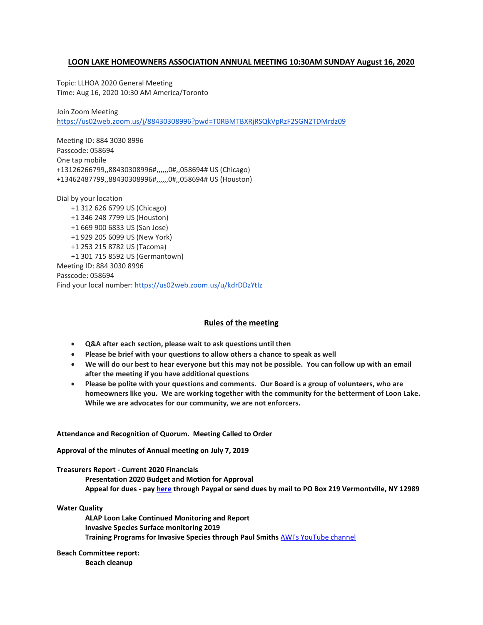### **LOON LAKE HOMEOWNERS ASSOCIATION ANNUAL MEETING 10:30AM SUNDAY August 16, 2020**

Topic: LLHOA 2020 General Meeting Time: Aug 16, 2020 10:30 AM America/Toronto

Join Zoom Meeting <https://us02web.zoom.us/j/88430308996?pwd=T0RBMTBXRjRSQkVpRzF2SGN2TDMrdz09>

Meeting ID: 884 3030 8996 Passcode: 058694 One tap mobile +13126266799,,88430308996#,,,,,,0#,,058694# US (Chicago) +13462487799,,88430308996#,,,,,,0#,,058694# US (Houston)

Dial by your location +1 312 626 6799 US (Chicago) +1 346 248 7799 US (Houston)

+1 669 900 6833 US (San Jose) +1 929 205 6099 US (New York) +1 253 215 8782 US (Tacoma) +1 301 715 8592 US (Germantown) Meeting ID: 884 3030 8996 Passcode: 058694 Find your local number: <https://us02web.zoom.us/u/kdrDDzYtIz>

# **Rules of the meeting**

- **Q&A after each section, please wait to ask questions until then**
- **Please be brief with your questions to allow others a chance to speak as well**
- **We will do our best to hear everyone but this may not be possible. You can follow up with an email after the meeting if you have additional questions**
- **Please be polite with your questions and comments. Our Board is a group of volunteers, who are homeowners like you. We are working together with the community for the betterment of Loon Lake. While we are advocates for our community, we are not enforcers.**

### **Attendance and Recognition of Quorum. Meeting Called to Order**

**Approval of the minutes of Annual meeting on July 7, 2019**

#### **Treasurers Report - Current 2020 Financials**

**Presentation 2020 Budget and Motion for Approval Appeal for dues - pa[y here](http://www.loonlakehoa.org/membership.html) through Paypal or send dues by mail to PO Box 219 Vermontville, NY 12989**

**Water Quality**

**ALAP Loon Lake Continued Monitoring and Report Invasive Species Surface monitoring 2019 Training Programs for Invasive Species through Paul Smiths** [AWI's YouTube channel](http://r20.rs6.net/tn.jsp?f=001Nl3ofSXeTsrl5IIitQhUajRM_4gDwf6lhUi-2_dLhhFlYeMWmUyZIMPJMMVSy0hP2wACIORyOsy6mKXA3ubRL9fY3EXGwADnaxb0pZOZQjlgBd4qVFkh2pKclwDOpkupxsoUx6EdF64K5990ODn0fQORTaVD3_ET0Zs0wfUWddKZRnFnm8ysVTaFdG5RfZwOempWDdOrkH08W4G7nbF4_IB8I00ACZuo&c=RR0ZKjTGVBeppt4D0A89KviK-blJDBj2UdCvXHsk_fgWquoL0w_dAQ==&ch=pQx8s7f01Wi7r6M-qOLIjPKGFbgYm6QWN5nSD-QbZRCSZAHG1Gwirg==)

# **Beach Committee report:**

**Beach cleanup**